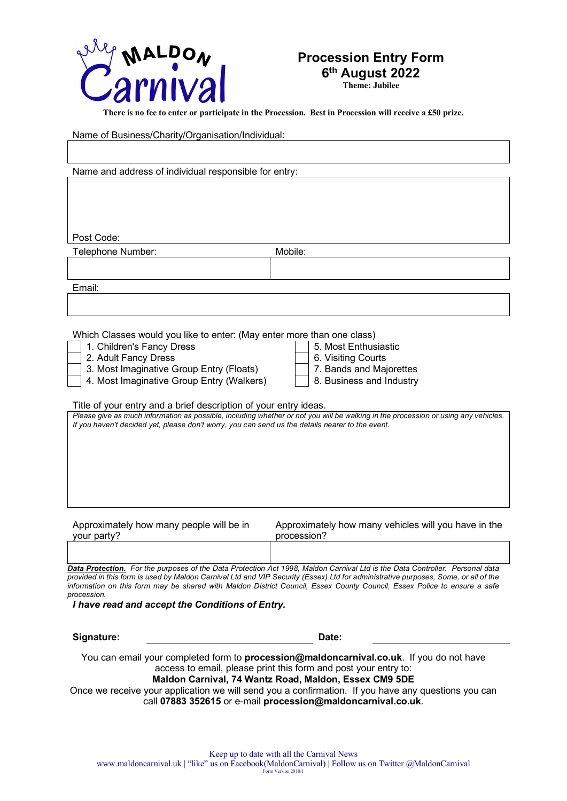

#### **Procession Entry Form 6th August 2022**

**Theme: Jubilee**

**There is no fee to enter or participate in the Procession. Best in Procession will receive a £50 prize.**

Name of Business/Charity/Organisation/Individual:

Name and address of individual responsible for entry: Post Code: Telephone Number: Mobile: Mobile: Email: Which Classes would you like to enter: (May enter more than one class) 1. Children's Fancy Dress 5. Most Enthusiastic 1. Children's Fancy Dress 2. Adult Fancy Dress<br>3. Most Imaginative Group Entry (Floats) 7. Bands and Maiorettes 3. Most Imaginative Group Entry (Floats) 7. Bands and Majorettes<br>4. Most Imaginative Group Entry (Walkers) 8. Business and Industry 4. Most Imaginative Group Entry (Walkers) Title of your entry and a brief description of your entry ideas. *Please give as much information as possible, including whether or not you will be walking in the procession or using any vehicles. If you haven't decided yet, please don't worry, you can send us the details nearer to the event.* Approximately how many people will be in your party? Approximately how many vehicles will you have in the procession?

*Data Protection. For the purposes of the Data Protection Act 1998, Maldon Carnival Ltd is the Data Controller. Personal data provided in this form is used by Maldon Carnival Ltd and VIP Security (Essex) Ltd for administrative purposes, Some, or all of the information on this form may be shared with Maldon District Council, Essex County Council, Essex Police to ensure a safe procession.* 

*I have read and accept the Conditions of Entry.*

**Signature: Date:** You can email your completed form to **procession@maldoncarnival.co.uk**. If you do not have access to email, please print this form and post your entry to: **Maldon Carnival, 74 Wantz Road, Maldon, Essex CM9 5DE** Once we receive your application we will send you a confirmation. If you have any questions you can

call **07883 352615** or e-mail **procession@maldoncarnival.co.uk**.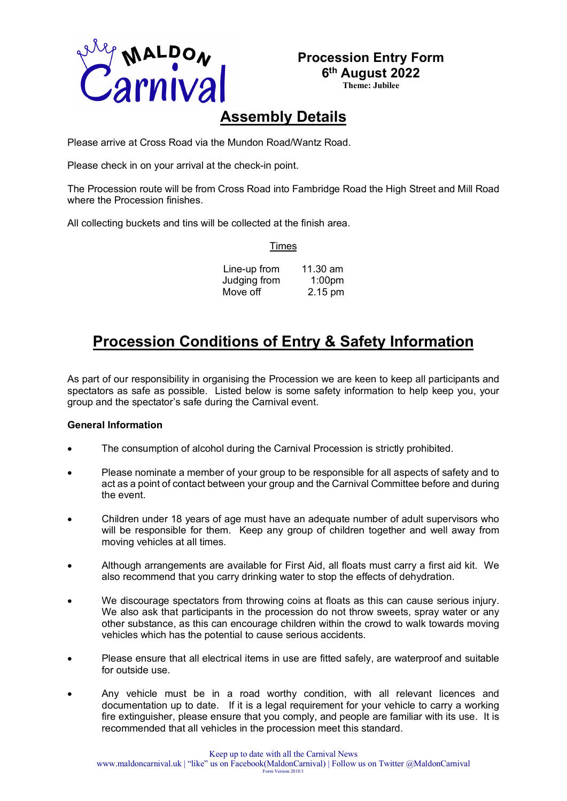

# **Procession Entry Form**

**6th August 2022 Theme: Jubilee**

# **Assembly Details**

Please arrive at Cross Road via the Mundon Road/Wantz Road.

Please check in on your arrival at the check-in point.

The Procession route will be from Cross Road into Fambridge Road the High Street and Mill Road where the Procession finishes.

All collecting buckets and tins will be collected at the finish area.

Times

| Line-up from | 11.30 am           |
|--------------|--------------------|
| Judging from | 1:00 <sub>pm</sub> |
| Move off     | 2.15 pm            |

## **Procession Conditions of Entry & Safety Information**

As part of our responsibility in organising the Procession we are keen to keep all participants and spectators as safe as possible. Listed below is some safety information to help keep you, your group and the spectator's safe during the Carnival event.

#### **General Information**

- The consumption of alcohol during the Carnival Procession is strictly prohibited.
- Please nominate a member of your group to be responsible for all aspects of safety and to act as a point of contact between your group and the Carnival Committee before and during the event.
- Children under 18 years of age must have an adequate number of adult supervisors who will be responsible for them. Keep any group of children together and well away from moving vehicles at all times.
- Although arrangements are available for First Aid, all floats must carry a first aid kit. We also recommend that you carry drinking water to stop the effects of dehydration.
- We discourage spectators from throwing coins at floats as this can cause serious injury. We also ask that participants in the procession do not throw sweets, spray water or any other substance, as this can encourage children within the crowd to walk towards moving vehicles which has the potential to cause serious accidents.
- Please ensure that all electrical items in use are fitted safely, are waterproof and suitable for outside use.
- Any vehicle must be in a road worthy condition, with all relevant licences and documentation up to date. If it is a legal requirement for your vehicle to carry a working fire extinguisher, please ensure that you comply, and people are familiar with its use. It is recommended that all vehicles in the procession meet this standard.